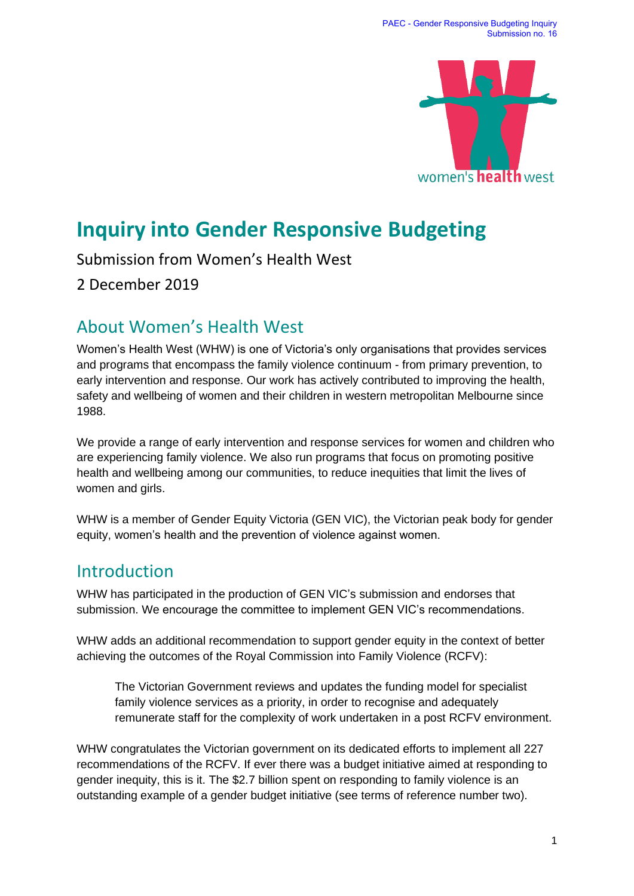

# **Inquiry into Gender Responsive Budgeting**

Submission from Women's Health West

2 December 2019

# About Women's Health West

Women's Health West (WHW) is one of Victoria's only organisations that provides services and programs that encompass the family violence continuum - from primary prevention, to early intervention and response. Our work has actively contributed to improving the health, safety and wellbeing of women and their children in western metropolitan Melbourne since 1988.

We provide a range of early intervention and response services for women and children who are experiencing family violence. We also run programs that focus on promoting positive health and wellbeing among our communities, to reduce inequities that limit the lives of women and girls.

WHW is a member of Gender Equity Victoria (GEN VIC), the Victorian peak body for gender equity, women's health and the prevention of violence against women.

# Introduction

WHW has participated in the production of GEN VIC's submission and endorses that submission. We encourage the committee to implement GEN VIC's recommendations.

WHW adds an additional recommendation to support gender equity in the context of better achieving the outcomes of the Royal Commission into Family Violence (RCFV):

The Victorian Government reviews and updates the funding model for specialist family violence services as a priority, in order to recognise and adequately remunerate staff for the complexity of work undertaken in a post RCFV environment.

WHW congratulates the Victorian government on its dedicated efforts to implement all 227 recommendations of the RCFV. If ever there was a budget initiative aimed at responding to gender inequity, this is it. The \$2.7 billion spent on responding to family violence is an outstanding example of a gender budget initiative (see terms of reference number two).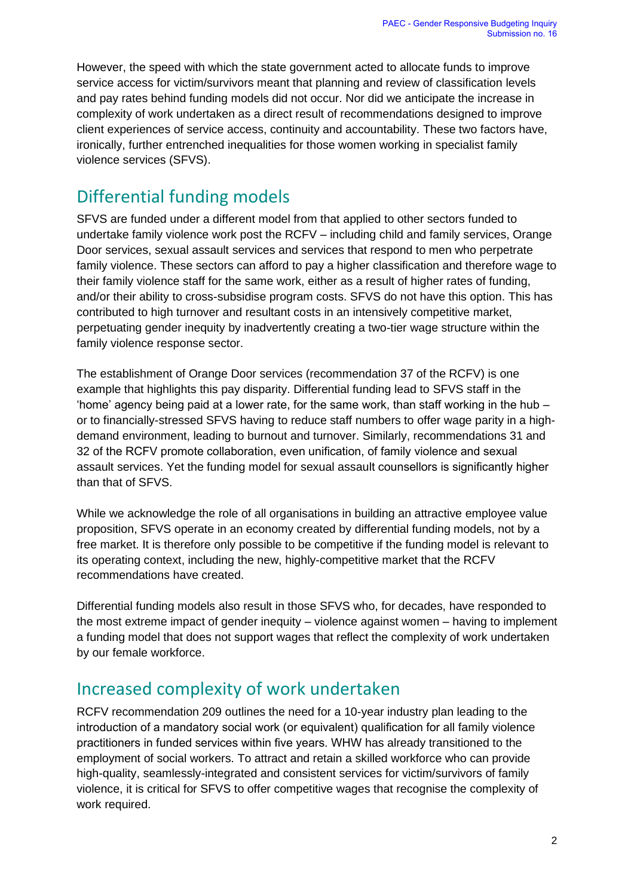However, the speed with which the state government acted to allocate funds to improve service access for victim/survivors meant that planning and review of classification levels and pay rates behind funding models did not occur. Nor did we anticipate the increase in complexity of work undertaken as a direct result of recommendations designed to improve client experiences of service access, continuity and accountability. These two factors have, ironically, further entrenched inequalities for those women working in specialist family violence services (SFVS).

# Differential funding models

SFVS are funded under a different model from that applied to other sectors funded to undertake family violence work post the RCFV – including child and family services, Orange Door services, sexual assault services and services that respond to men who perpetrate family violence. These sectors can afford to pay a higher classification and therefore wage to their family violence staff for the same work, either as a result of higher rates of funding, and/or their ability to cross-subsidise program costs. SFVS do not have this option. This has contributed to high turnover and resultant costs in an intensively competitive market, perpetuating gender inequity by inadvertently creating a two-tier wage structure within the family violence response sector.

The establishment of Orange Door services (recommendation 37 of the RCFV) is one example that highlights this pay disparity. Differential funding lead to SFVS staff in the 'home' agency being paid at a lower rate, for the same work, than staff working in the hub – or to financially-stressed SFVS having to reduce staff numbers to offer wage parity in a highdemand environment, leading to burnout and turnover. Similarly, recommendations 31 and 32 of the RCFV promote collaboration, even unification, of family violence and sexual assault services. Yet the funding model for sexual assault counsellors is significantly higher than that of SFVS.

While we acknowledge the role of all organisations in building an attractive employee value proposition, SFVS operate in an economy created by differential funding models, not by a free market. It is therefore only possible to be competitive if the funding model is relevant to its operating context, including the new, highly-competitive market that the RCFV recommendations have created.

Differential funding models also result in those SFVS who, for decades, have responded to the most extreme impact of gender inequity – violence against women – having to implement a funding model that does not support wages that reflect the complexity of work undertaken by our female workforce.

# Increased complexity of work undertaken

RCFV recommendation 209 outlines the need for a 10-year industry plan leading to the introduction of a mandatory social work (or equivalent) qualification for all family violence practitioners in funded services within five years. WHW has already transitioned to the employment of social workers. To attract and retain a skilled workforce who can provide high-quality, seamlessly-integrated and consistent services for victim/survivors of family violence, it is critical for SFVS to offer competitive wages that recognise the complexity of work required.